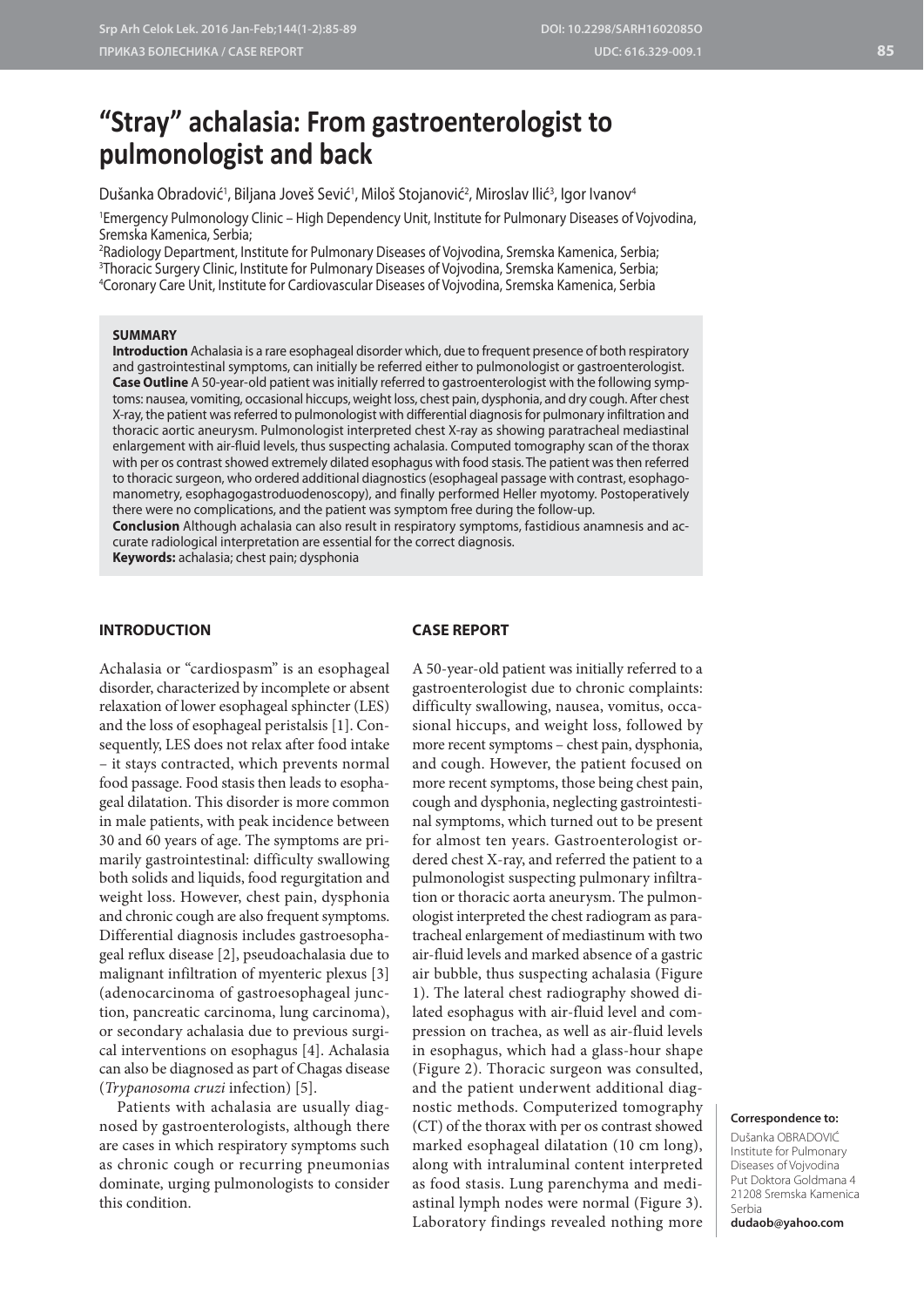# **"Stray" achalasia: From gastroenterologist to pulmonologist and back**

Dušanka Obradović<sup>1</sup>, Biljana Joveš Sević<sup>1</sup>, Miloš Stojanović<sup>2</sup>, Miroslav Ilić<sup>3</sup>, Igor Ivanov<sup>4</sup>

1 Emergency Pulmonology Clinic – High Dependency Unit, Institute for Pulmonary Diseases of Vojvodina, Sremska Kamenica, Serbia;

2 Radiology Department, Institute for Pulmonary Diseases of Vojvodina, Sremska Kamenica, Serbia; 3 Thoracic Surgery Clinic, Institute for Pulmonary Diseases of Vojvodina, Sremska Kamenica, Serbia; 4 Coronary Care Unit, Institute for Cardiovascular Diseases of Vojvodina, Sremska Kamenica, Serbia

#### **SUMMARY**

**Introduction** Achalasia is a rare esophageal disorder which, due to frequent presence of both respiratory and gastrointestinal symptoms, can initially be referred either to pulmonologist or gastroenterologist. **Case Outline** A 50-year-old patient was initially referred to gastroenterologist with the following symptoms: nausea, vomiting, occasional hiccups, weight loss, chest pain, dysphonia, and dry cough. After chest X-ray, the patient was referred to pulmonologist with differential diagnosis for pulmonary infiltration and thoracic aortic aneurysm. Pulmonologist interpreted chest X-ray as showing paratracheal mediastinal enlargement with air-fluid levels, thus suspecting achalasia. Computed tomography scan of the thorax with per os contrast showed extremely dilated esophagus with food stasis. The patient was then referred to thoracic surgeon, who ordered additional diagnostics (esophageal passage with contrast, esophagomanometry, esophagogastroduodenoscopy), and finally performed Heller myotomy. Postoperatively there were no complications, and the patient was symptom free during the follow-up.

**Conclusion** Although achalasia can also result in respiratory symptoms, fastidious anamnesis and accurate radiological interpretation are essential for the correct diagnosis.

**Keywords:** achalasia; chest pain; dysphonia

### **INTRODUCTION**

#### **CASE REPORT**

Achalasia or "cardiospasm" is an esophageal disorder, characterized by incomplete or absent relaxation of lower esophageal sphincter (LES) and the loss of esophageal peristalsis [1]. Consequently, LES does not relax after food intake – it stays contracted, which prevents normal food passage. Food stasis then leads to esophageal dilatation. This disorder is more common in male patients, with peak incidence between 30 and 60 years of age. The symptoms are primarily gastrointestinal: difficulty swallowing both solids and liquids, food regurgitation and weight loss. However, chest pain, dysphonia and chronic cough are also frequent symptoms. Differential diagnosis includes gastroesophageal reflux disease [2], pseudoachalasia due to malignant infiltration of myenteric plexus [3] (adenocarcinoma of gastroesophageal junction, pancreatic carcinoma, lung carcinoma), or secondary achalasia due to previous surgical interventions on esophagus [4]. Achalasia can also be diagnosed as part of Chagas disease (*Trypanosoma cruzi* infection) [5].

Patients with achalasia are usually diagnosed by gastroenterologists, although there are cases in which respiratory symptoms such as chronic cough or recurring pneumonias dominate, urging pulmonologists to consider this condition.

A 50-year-old patient was initially referred to a gastroenterologist due to chronic complaints: difficulty swallowing, nausea, vomitus, occasional hiccups, and weight loss, followed by more recent symptoms – chest pain, dysphonia, and cough. However, the patient focused on more recent symptoms, those being chest pain, cough and dysphonia, neglecting gastrointestinal symptoms, which turned out to be present for almost ten years. Gastroenterologist ordered chest X-ray, and referred the patient to a pulmonologist suspecting pulmonary infiltration or thoracic aorta aneurysm. The pulmonologist interpreted the chest radiogram as paratracheal enlargement of mediastinum with two air-fluid levels and marked absence of a gastric air bubble, thus suspecting achalasia (Figure 1). The lateral chest radiography showed dilated esophagus with air-fluid level and compression on trachea, as well as air-fluid levels in esophagus, which had a glass-hour shape (Figure 2). Thoracic surgeon was consulted, and the patient underwent additional diagnostic methods. Computerized tomography (CT) of the thorax with per os contrast showed marked esophageal dilatation (10 cm long), along with intraluminal content interpreted as food stasis. Lung parenchyma and mediastinal lymph nodes were normal (Figure 3). Laboratory findings revealed nothing more

#### **Correspondence to:**

Dušanka OBRADOVIĆ Institute for Pulmonary Diseases of Vojvodina Put Doktora Goldmana 4 21208 Sremska Kamenica Serbia

**dudaob@yahoo.com**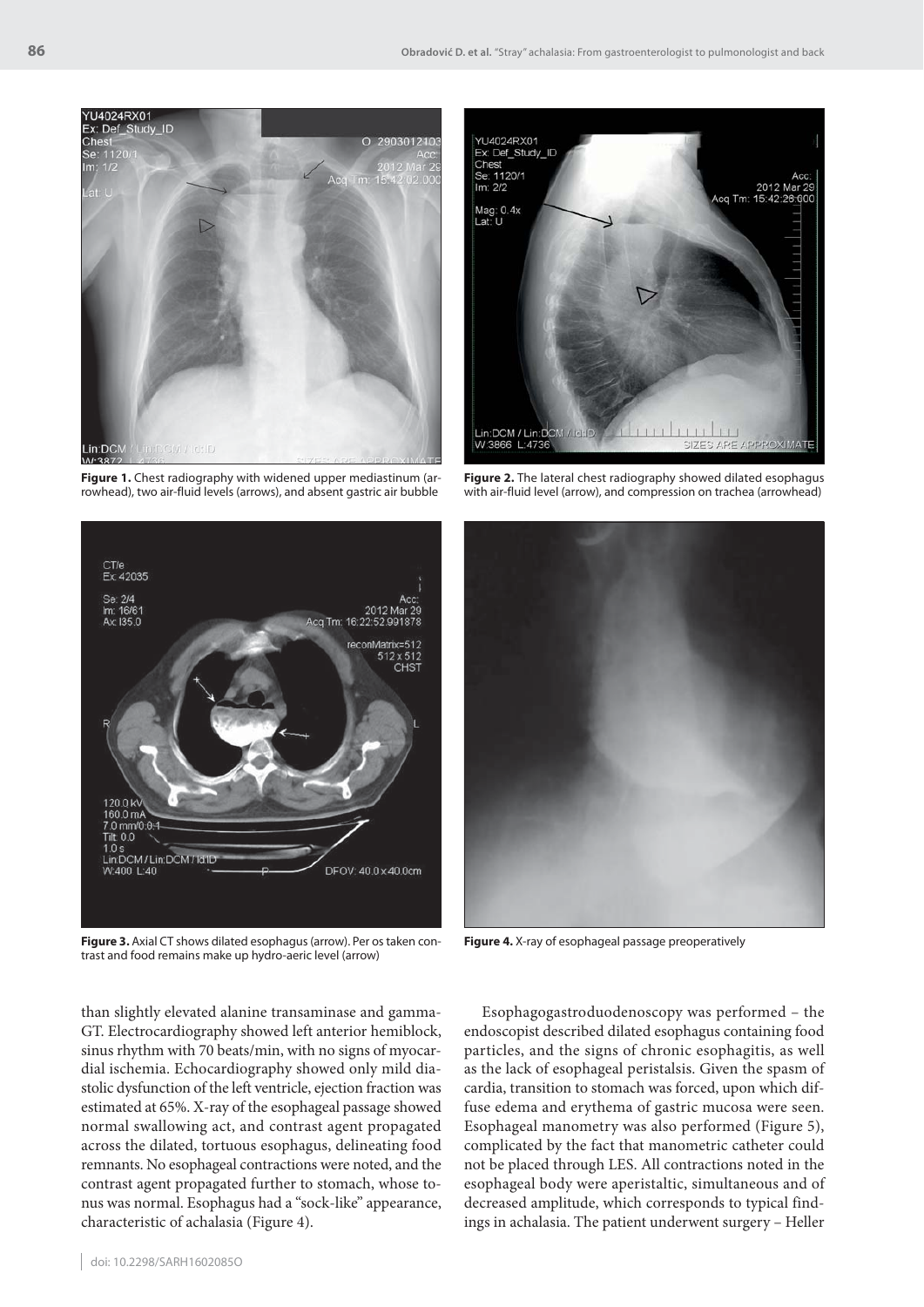

**Figure 1.** Chest radiography with widened upper mediastinum (arrowhead), two air-fluid levels (arrows), and absent gastric air bubble



**Figure 2.** The lateral chest radiography showed dilated esophagus with air-fluid level (arrow), and compression on trachea (arrowhead)



Figure 3. Axial CT shows dilated esophagus (arrow). Per os taken con-**Figure 4.** X-ray of esophageal passage preoperatively trast and food remains make up hydro-aeric level (arrow)

than slightly elevated alanine transaminase and gamma-GT. Electrocardiography showed left anterior hemiblock, sinus rhythm with 70 beats/min, with no signs of myocardial ischemia. Echocardiography showed only mild diastolic dysfunction of the left ventricle, ejection fraction was estimated at 65%. X-ray of the esophageal passage showed normal swallowing act, and contrast agent propagated across the dilated, tortuous esophagus, delineating food remnants. No esophageal contractions were noted, and the contrast agent propagated further to stomach, whose tonus was normal. Esophagus had a "sock-like" appearance, characteristic of achalasia (Figure 4).



Esophagogastroduodenoscopy was performed – the endoscopist described dilated esophagus containing food particles, and the signs of chronic esophagitis, as well as the lack of esophageal peristalsis. Given the spasm of cardia, transition to stomach was forced, upon which diffuse edema and erythema of gastric mucosa were seen. Esophageal manometry was also performed (Figure 5), complicated by the fact that manometric catheter could not be placed through LES. All contractions noted in the esophageal body were aperistaltic, simultaneous and of decreased amplitude, which corresponds to typical findings in achalasia. The patient underwent surgery – Heller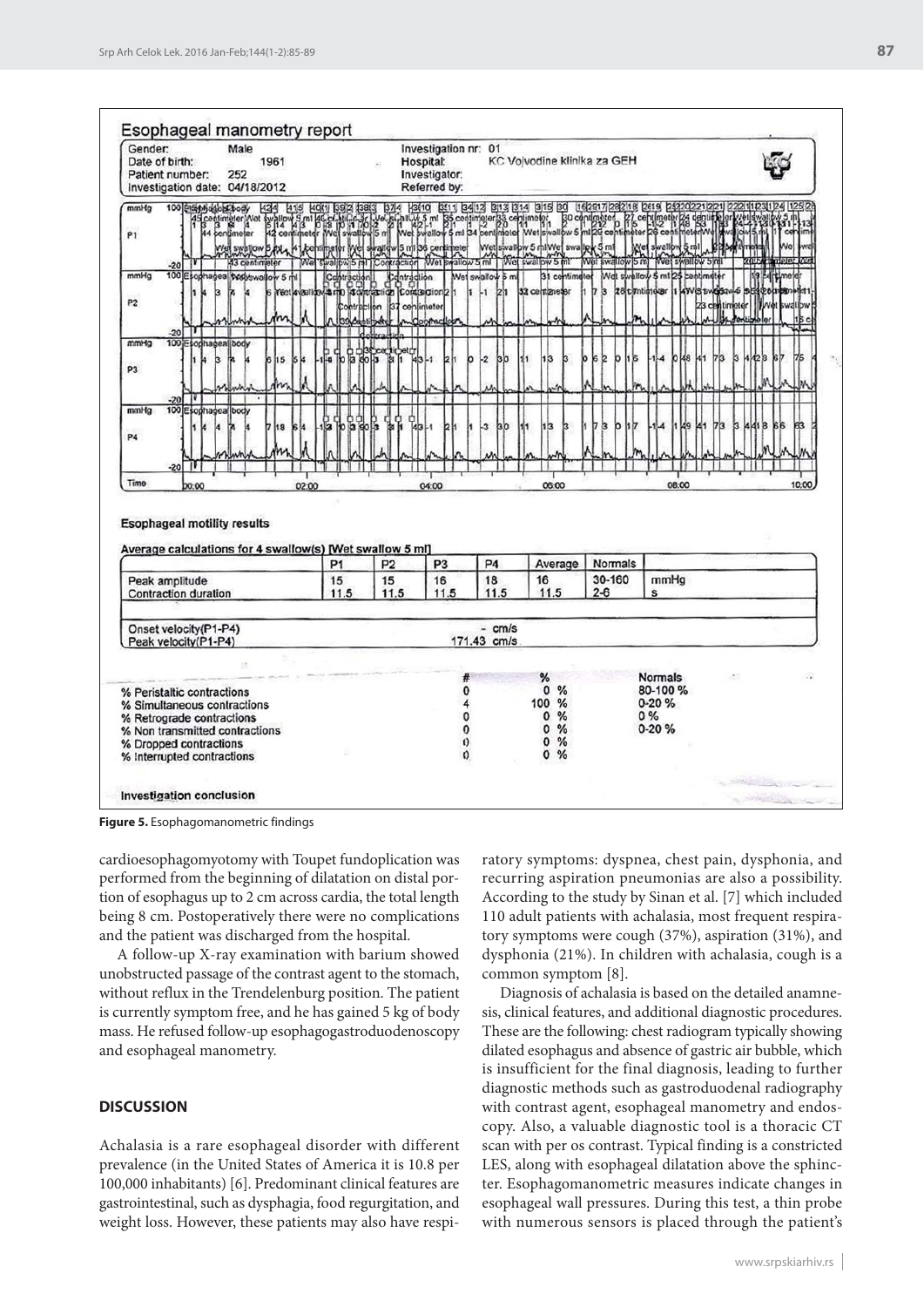| Gender:<br>Male<br>Date of birth:<br>1961<br>252<br>Patient number:<br>Investigation date: 04/18/2012                                                                            |                                |          |                   |                              |                                                                    |                                                              | Hospital:<br>Investigator:<br>Referred by: |                                                                | Investigation nr: 01<br>KC Voivodine klinika za GEH |                                                                                                         |                                |                              |                                                          |           |                                        |    |                      |            |   |      |    |     |
|----------------------------------------------------------------------------------------------------------------------------------------------------------------------------------|--------------------------------|----------|-------------------|------------------------------|--------------------------------------------------------------------|--------------------------------------------------------------|--------------------------------------------|----------------------------------------------------------------|-----------------------------------------------------|---------------------------------------------------------------------------------------------------------|--------------------------------|------------------------------|----------------------------------------------------------|-----------|----------------------------------------|----|----------------------|------------|---|------|----|-----|
| mmHg<br>P <sub>1</sub><br>$-20$                                                                                                                                                  | 100 Staphade Schody            |          |                   |                              |                                                                    |                                                              |                                            |                                                                |                                                     |                                                                                                         |                                |                              |                                                          |           |                                        |    |                      |            |   |      |    |     |
| mmHg<br>P <sub>2</sub><br>$-20$                                                                                                                                                  | 100 Esophagea bodyswallow 5 ml |          | Yect 4 yas look & | Contraction                  | raction Contraction<br>Compation Contraction2<br>Contraction<br>uı | list                                                         | centimeter                                 |                                                                | Wet swallow 5 ml<br>L.<br>21                        |                                                                                                         | 31 centimeter<br>32 cent mesar | 17                           | <b>b</b>                                                 |           | Well swallow 5 ml<br><b>zaciminoar</b> |    | <b>ATVES BYERSON</b> | centimeter |   |      |    |     |
| mmHg<br>P <sub>3</sub>                                                                                                                                                           | 100 Esophagea body             | 15<br>is |                   | 瞐<br>吊届                      | 16년                                                                | ы                                                            | IJ,<br>-1                                  | b                                                              | $\overline{2}$<br>bo                                |                                                                                                         | I3                             |                              |                                                          |           |                                        | đΑ |                      |            | b | я    |    | 76  |
| 100 Esophagea<br>mmHg<br><b>P4</b><br>$-20$                                                                                                                                      | body                           | 18       |                   | G<br>g                       | ο<br>ę                                                             | 읿                                                            |                                            |                                                                | 3<br>30                                             |                                                                                                         | hз                             |                              | b                                                        |           |                                        |    |                      | 77 P       | b | 1418 | 88 | 'nз |
| <b>Esophageal motility results</b><br>Average calculations for 4 swallow(s) [Wet swallow 5 ml]                                                                                   |                                |          |                   |                              |                                                                    |                                                              |                                            |                                                                |                                                     |                                                                                                         |                                |                              |                                                          |           |                                        |    |                      |            |   |      |    |     |
| Peak amplitude<br>Contraction duration                                                                                                                                           |                                |          |                   | P <sub>1</sub><br>15<br>11.5 |                                                                    | P <sub>2</sub><br>P <sub>3</sub><br>15<br>16<br>11.5<br>11.5 |                                            | P <sub>4</sub><br>18<br>11.5                                   |                                                     | Average<br>16<br>11.5                                                                                   |                                | Normals<br>30-160<br>$2 - 6$ |                                                          | mmHg<br>s |                                        |    |                      |            |   |      |    |     |
| Onset velocity(P1-P4)<br>Peak velocity(P1-P4)                                                                                                                                    |                                |          |                   |                              |                                                                    |                                                              |                                            |                                                                | $- cm/s$<br>171.43 cm/s                             |                                                                                                         |                                |                              |                                                          |           |                                        |    |                      |            |   |      |    |     |
| % Peristaltic contractions<br>% Simultaneous contractions<br>% Retrograde contractions<br>% Non transmitted contractions<br>% Dropped contractions<br>% Interrupted contractions |                                |          |                   |                              |                                                                    |                                                              |                                            | #<br>$\bf{0}$<br>4<br>0<br>$\mathbf 0$<br>$\theta$<br>$\Omega$ |                                                     | %<br>$\mathfrak{o}$<br>%<br>100 %<br>0<br>%<br>$\circ$<br>%<br>$\mathbf{0}$<br>%<br>$\overline{0}$<br>% |                                |                              | <b>Normals</b><br>80-100 %<br>$0 - 20%$<br>0%<br>$0-20%$ |           |                                        |    |                      |            |   |      |    |     |
|                                                                                                                                                                                  |                                |          |                   |                              |                                                                    |                                                              |                                            |                                                                |                                                     |                                                                                                         |                                |                              |                                                          |           |                                        |    |                      |            |   |      |    |     |

**Figure 5.** Esophagomanometric findings

cardioesophagomyotomy with Toupet fundoplication was performed from the beginning of dilatation on distal portion of esophagus up to 2 cm across cardia, the total length being 8 cm. Postoperatively there were no complications and the patient was discharged from the hospital.

A follow-up X-ray examination with barium showed unobstructed passage of the contrast agent to the stomach, without reflux in the Trendelenburg position. The patient is currently symptom free, and he has gained 5 kg of body mass. He refused follow-up esophagogastroduodenoscopy and esophageal manometry.

#### **DISCUSSION**

Achalasia is a rare esophageal disorder with different prevalence (in the United States of America it is 10.8 per 100,000 inhabitants) [6]. Predominant clinical features are gastrointestinal, such as dysphagia, food regurgitation, and weight loss. However, these patients may also have respi-

ratory symptoms: dyspnea, chest pain, dysphonia, and recurring aspiration pneumonias are also a possibility. According to the study by Sinan et al. [7] which included 110 adult patients with achalasia, most frequent respiratory symptoms were cough (37%), aspiration (31%), and dysphonia (21%). In children with achalasia, cough is a common symptom [8].

Diagnosis of achalasia is based on the detailed anamnesis, clinical features, and additional diagnostic procedures. These are the following: chest radiogram typically showing dilated esophagus and absence of gastric air bubble, which is insufficient for the final diagnosis, leading to further diagnostic methods such as gastroduodenal radiography with contrast agent, esophageal manometry and endoscopy. Also, a valuable diagnostic tool is a thoracic CT scan with per os contrast. Typical finding is a constricted LES, along with esophageal dilatation above the sphincter. Esophagomanometric measures indicate changes in esophageal wall pressures. During this test, a thin probe with numerous sensors is placed through the patient's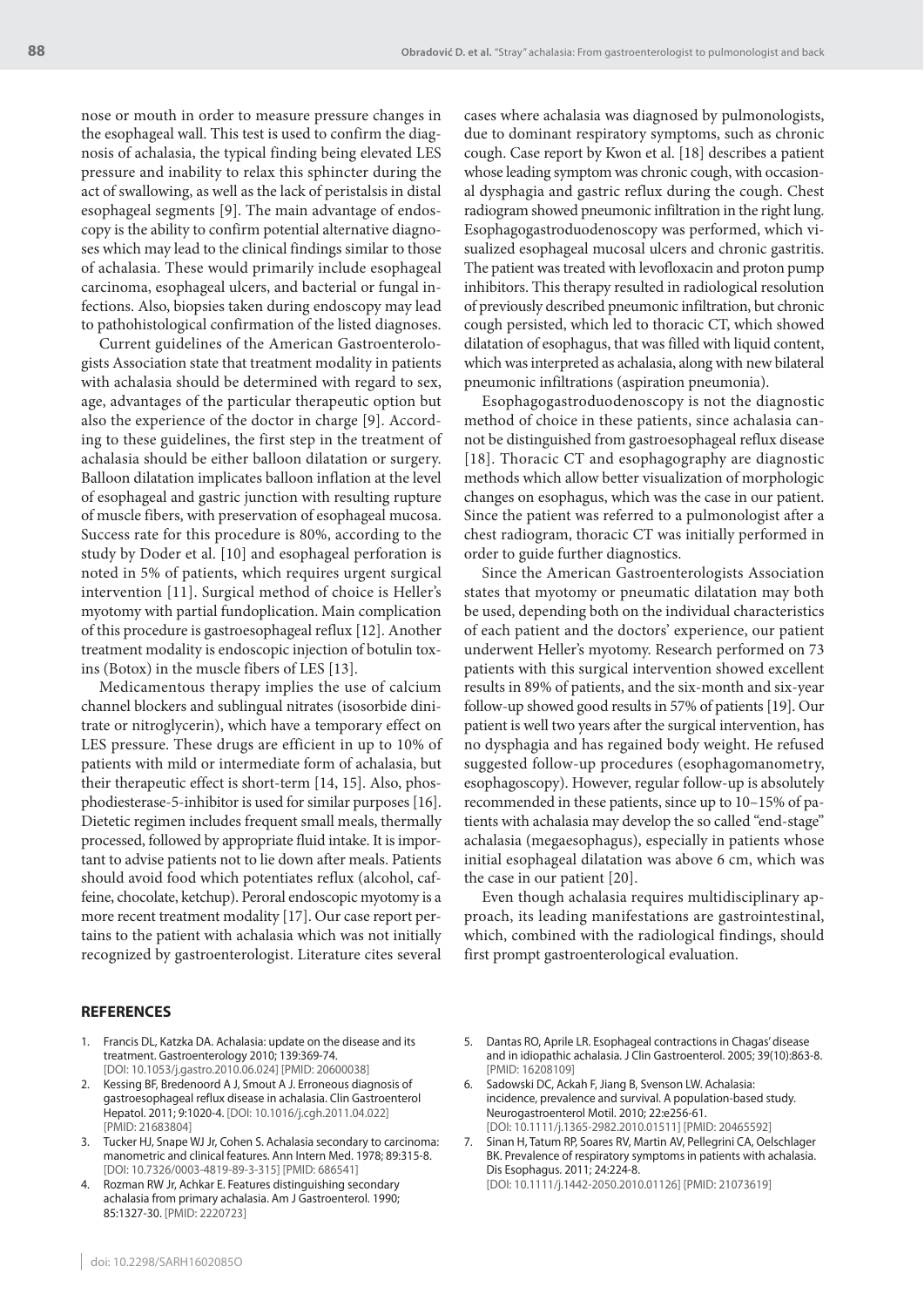nose or mouth in order to measure pressure changes in the esophageal wall. This test is used to confirm the diagnosis of achalasia, the typical finding being elevated LES pressure and inability to relax this sphincter during the act of swallowing, as well as the lack of peristalsis in distal esophageal segments [9]. The main advantage of endoscopy is the ability to confirm potential alternative diagnoses which may lead to the clinical findings similar to those of achalasia. These would primarily include esophageal carcinoma, esophageal ulcers, and bacterial or fungal infections. Also, biopsies taken during endoscopy may lead to pathohistological confirmation of the listed diagnoses.

Current guidelines of the American Gastroenterologists Association state that treatment modality in patients with achalasia should be determined with regard to sex, age, advantages of the particular therapeutic option but also the experience of the doctor in charge [9]. According to these guidelines, the first step in the treatment of achalasia should be either balloon dilatation or surgery. Balloon dilatation implicates balloon inflation at the level of esophageal and gastric junction with resulting rupture of muscle fibers, with preservation of esophageal mucosa. Success rate for this procedure is 80%, according to the study by Doder et al. [10] and esophageal perforation is noted in 5% of patients, which requires urgent surgical intervention [11]. Surgical method of choice is Heller's myotomy with partial fundoplication. Main complication of this procedure is gastroesophageal reflux [12]. Another treatment modality is endoscopic injection of botulin toxins (Botox) in the muscle fibers of LES [13].

Medicamentous therapy implies the use of calcium channel blockers and sublingual nitrates (isosorbide dinitrate or nitroglycerin), which have a temporary effect on LES pressure. These drugs are efficient in up to 10% of patients with mild or intermediate form of achalasia, but their therapeutic effect is short-term [14, 15]. Also, phosphodiesterase-5-inhibitor is used for similar purposes [16]. Dietetic regimen includes frequent small meals, thermally processed, followed by appropriate fluid intake. It is important to advise patients not to lie down after meals. Patients should avoid food which potentiates reflux (alcohol, caffeine, chocolate, ketchup). Peroral endoscopic myotomy is a more recent treatment modality [17]. Our case report pertains to the patient with achalasia which was not initially recognized by gastroenterologist. Literature cites several cases where achalasia was diagnosed by pulmonologists, due to dominant respiratory symptoms, such as chronic cough. Case report by Kwon et al. [18] describes a patient whose leading symptom was chronic cough, with occasional dysphagia and gastric reflux during the cough. Chest radiogram showed pneumonic infiltration in the right lung. Esophagogastroduodenoscopy was performed, which visualized esophageal mucosal ulcers and chronic gastritis. The patient was treated with levofloxacin and proton pump inhibitors. This therapy resulted in radiological resolution of previously described pneumonic infiltration, but chronic cough persisted, which led to thoracic CT, which showed dilatation of esophagus, that was filled with liquid content, which was interpreted as achalasia, along with new bilateral pneumonic infiltrations (aspiration pneumonia).

Esophagogastroduodenoscopy is not the diagnostic method of choice in these patients, since achalasia cannot be distinguished from gastroesophageal reflux disease [18]. Thoracic CT and esophagography are diagnostic methods which allow better visualization of morphologic changes on esophagus, which was the case in our patient. Since the patient was referred to a pulmonologist after a chest radiogram, thoracic CT was initially performed in order to guide further diagnostics.

Since the American Gastroenterologists Association states that myotomy or pneumatic dilatation may both be used, depending both on the individual characteristics of each patient and the doctors' experience, our patient underwent Heller's myotomy. Research performed on 73 patients with this surgical intervention showed excellent results in 89% of patients, and the six-month and six-year follow-up showed good results in 57% of patients [19]. Our patient is well two years after the surgical intervention, has no dysphagia and has regained body weight. He refused suggested follow-up procedures (esophagomanometry, esophagoscopy). However, regular follow-up is absolutely recommended in these patients, since up to 10–15% of patients with achalasia may develop the so called "end-stage" achalasia (megaesophagus), especially in patients whose initial esophageal dilatation was above 6 cm, which was the case in our patient [20].

Even though achalasia requires multidisciplinary approach, its leading manifestations are gastrointestinal, which, combined with the radiological findings, should first prompt gastroenterological evaluation.

#### **REFERENCES**

- 1. Francis DL, Katzka DA. Achalasia: update on the disease and its treatment. Gastroenterology 2010; 139:369-74. [DOI: 10.1053/j.gastro.2010.06.024] [PMID: 20600038]
- 2. Kessing BF, Bredenoord A J, Smout A J. Erroneous diagnosis of gastroesophageal reflux disease in achalasia. Clin Gastroenterol Hepatol. 2011; 9:1020-4. [DOI: 10.1016/j.cgh.2011.04.022] [PMID: 21683804]
- 3. Tucker HJ, Snape WJ Jr, Cohen S. Achalasia secondary to carcinoma: manometric and clinical features. Ann Intern Med. 1978; 89:315-8. [DOI: 10.7326/0003-4819-89-3-315] [PMID: 686541]
- 4. Rozman RW Jr, Achkar E. Features distinguishing secondary achalasia from primary achalasia. Am J Gastroenterol. 1990; 85:1327-30. [PMID: 2220723]
- 5. Dantas RO, Aprile LR. Esophageal contractions in Chagas' disease and in idiopathic achalasia. J Clin Gastroenterol. 2005; 39(10):863-8. [PMID: 16208109]
- 6. Sadowski DC, Ackah F, Jiang B, Svenson LW. Achalasia: incidence, prevalence and survival. A population-based study. Neurogastroenterol Motil. 2010; 22:e256-61. [DOI: 10.1111/j.1365-2982.2010.01511] [PMID: 20465592]
- 7. Sinan H, Tatum RP, Soares RV, Martin AV, Pellegrini CA, Oelschlager BK. Prevalence of respiratory symptoms in patients with achalasia. Dis Esophagus. 2011; 24:224-8. [DOI: 10.1111/j.1442-2050.2010.01126] [PMID: 21073619]